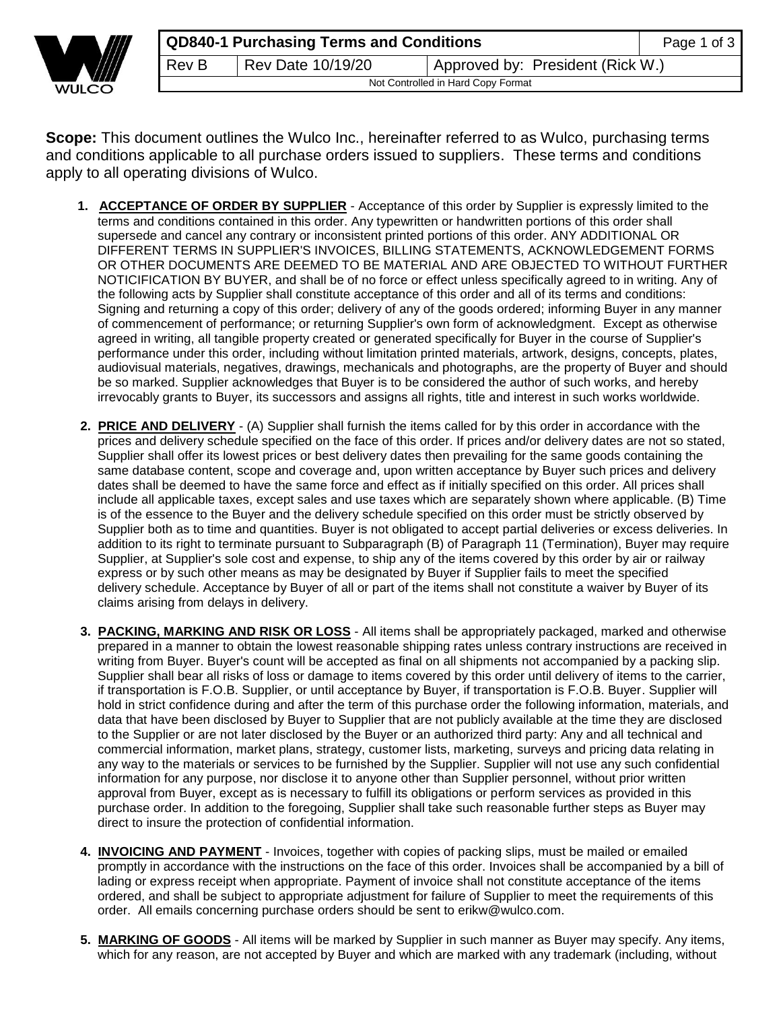

**Scope:** This document outlines the Wulco Inc., hereinafter referred to as Wulco, purchasing terms and conditions applicable to all purchase orders issued to suppliers. These terms and conditions apply to all operating divisions of Wulco.

- **1. ACCEPTANCE OF ORDER BY SUPPLIER** Acceptance of this order by Supplier is expressly limited to the terms and conditions contained in this order. Any typewritten or handwritten portions of this order shall supersede and cancel any contrary or inconsistent printed portions of this order. ANY ADDITIONAL OR DIFFERENT TERMS IN SUPPLIER'S INVOICES, BILLING STATEMENTS, ACKNOWLEDGEMENT FORMS OR OTHER DOCUMENTS ARE DEEMED TO BE MATERIAL AND ARE OBJECTED TO WITHOUT FURTHER NOTICIFICATION BY BUYER, and shall be of no force or effect unless specifically agreed to in writing. Any of the following acts by Supplier shall constitute acceptance of this order and all of its terms and conditions: Signing and returning a copy of this order; delivery of any of the goods ordered; informing Buyer in any manner of commencement of performance; or returning Supplier's own form of acknowledgment. Except as otherwise agreed in writing, all tangible property created or generated specifically for Buyer in the course of Supplier's performance under this order, including without limitation printed materials, artwork, designs, concepts, plates, audiovisual materials, negatives, drawings, mechanicals and photographs, are the property of Buyer and should be so marked. Supplier acknowledges that Buyer is to be considered the author of such works, and hereby irrevocably grants to Buyer, its successors and assigns all rights, title and interest in such works worldwide.
- **2. PRICE AND DELIVERY** (A) Supplier shall furnish the items called for by this order in accordance with the prices and delivery schedule specified on the face of this order. If prices and/or delivery dates are not so stated, Supplier shall offer its lowest prices or best delivery dates then prevailing for the same goods containing the same database content, scope and coverage and, upon written acceptance by Buyer such prices and delivery dates shall be deemed to have the same force and effect as if initially specified on this order. All prices shall include all applicable taxes, except sales and use taxes which are separately shown where applicable. (B) Time is of the essence to the Buyer and the delivery schedule specified on this order must be strictly observed by Supplier both as to time and quantities. Buyer is not obligated to accept partial deliveries or excess deliveries. In addition to its right to terminate pursuant to Subparagraph (B) of Paragraph 11 (Termination), Buyer may require Supplier, at Supplier's sole cost and expense, to ship any of the items covered by this order by air or railway express or by such other means as may be designated by Buyer if Supplier fails to meet the specified delivery schedule. Acceptance by Buyer of all or part of the items shall not constitute a waiver by Buyer of its claims arising from delays in delivery.
- **3. PACKING, MARKING AND RISK OR LOSS** All items shall be appropriately packaged, marked and otherwise prepared in a manner to obtain the lowest reasonable shipping rates unless contrary instructions are received in writing from Buyer. Buyer's count will be accepted as final on all shipments not accompanied by a packing slip. Supplier shall bear all risks of loss or damage to items covered by this order until delivery of items to the carrier, if transportation is F.O.B. Supplier, or until acceptance by Buyer, if transportation is F.O.B. Buyer. Supplier will hold in strict confidence during and after the term of this purchase order the following information, materials, and data that have been disclosed by Buyer to Supplier that are not publicly available at the time they are disclosed to the Supplier or are not later disclosed by the Buyer or an authorized third party: Any and all technical and commercial information, market plans, strategy, customer lists, marketing, surveys and pricing data relating in any way to the materials or services to be furnished by the Supplier. Supplier will not use any such confidential information for any purpose, nor disclose it to anyone other than Supplier personnel, without prior written approval from Buyer, except as is necessary to fulfill its obligations or perform services as provided in this purchase order. In addition to the foregoing, Supplier shall take such reasonable further steps as Buyer may direct to insure the protection of confidential information.
- **4. INVOICING AND PAYMENT** Invoices, together with copies of packing slips, must be mailed or emailed promptly in accordance with the instructions on the face of this order. Invoices shall be accompanied by a bill of lading or express receipt when appropriate. Payment of invoice shall not constitute acceptance of the items ordered, and shall be subject to appropriate adjustment for failure of Supplier to meet the requirements of this order. All emails concerning purchase orders should be sent to erikw@wulco.com.
- **5. MARKING OF GOODS** All items will be marked by Supplier in such manner as Buyer may specify. Any items, which for any reason, are not accepted by Buyer and which are marked with any trademark (including, without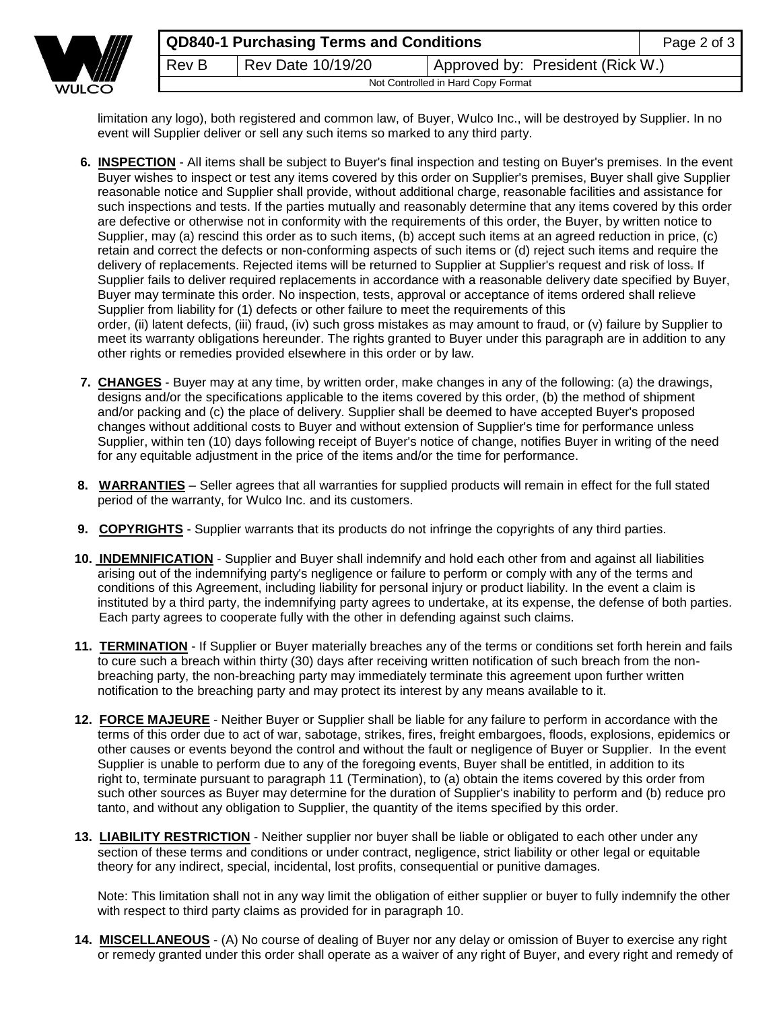

limitation any logo), both registered and common law, of Buyer, Wulco Inc., will be destroyed by Supplier. In no event will Supplier deliver or sell any such items so marked to any third party.

- **6. INSPECTION** All items shall be subject to Buyer's final inspection and testing on Buyer's premises. In the event Buyer wishes to inspect or test any items covered by this order on Supplier's premises, Buyer shall give Supplier reasonable notice and Supplier shall provide, without additional charge, reasonable facilities and assistance for such inspections and tests. If the parties mutually and reasonably determine that any items covered by this order are defective or otherwise not in conformity with the requirements of this order, the Buyer, by written notice to Supplier, may (a) rescind this order as to such items, (b) accept such items at an agreed reduction in price, (c) retain and correct the defects or non-conforming aspects of such items or (d) reject such items and require the delivery of replacements. Rejected items will be returned to Supplier at Supplier's request and risk of loss- If Supplier fails to deliver required replacements in accordance with a reasonable delivery date specified by Buyer, Buyer may terminate this order. No inspection, tests, approval or acceptance of items ordered shall relieve Supplier from liability for (1) defects or other failure to meet the requirements of this order, (ii) latent defects, (iii) fraud, (iv) such gross mistakes as may amount to fraud, or (v) failure by Supplier to meet its warranty obligations hereunder. The rights granted to Buyer under this paragraph are in addition to any other rights or remedies provided elsewhere in this order or by law.
- **7. CHANGES** Buyer may at any time, by written order, make changes in any of the following: (a) the drawings, designs and/or the specifications applicable to the items covered by this order, (b) the method of shipment and/or packing and (c) the place of delivery. Supplier shall be deemed to have accepted Buyer's proposed changes without additional costs to Buyer and without extension of Supplier's time for performance unless Supplier, within ten (10) days following receipt of Buyer's notice of change, notifies Buyer in writing of the need for any equitable adjustment in the price of the items and/or the time for performance.
- **8. WARRANTIES** Seller agrees that all warranties for supplied products will remain in effect for the full stated period of the warranty, for Wulco Inc. and its customers.
- **9. COPYRIGHTS** Supplier warrants that its products do not infringe the copyrights of any third parties.
- **10. INDEMNIFICATION** Supplier and Buyer shall indemnify and hold each other from and against all liabilities arising out of the indemnifying party's negligence or failure to perform or comply with any of the terms and conditions of this Agreement, including liability for personal injury or product liability. In the event a claim is instituted by a third party, the indemnifying party agrees to undertake, at its expense, the defense of both parties. Each party agrees to cooperate fully with the other in defending against such claims.
- **11. TERMINATION** If Supplier or Buyer materially breaches any of the terms or conditions set forth herein and fails to cure such a breach within thirty (30) days after receiving written notification of such breach from the nonbreaching party, the non-breaching party may immediately terminate this agreement upon further written notification to the breaching party and may protect its interest by any means available to it.
- **12. FORCE MAJEURE** Neither Buyer or Supplier shall be liable for any failure to perform in accordance with the terms of this order due to act of war, sabotage, strikes, fires, freight embargoes, floods, explosions, epidemics or other causes or events beyond the control and without the fault or negligence of Buyer or Supplier. In the event Supplier is unable to perform due to any of the foregoing events, Buyer shall be entitled, in addition to its right to, terminate pursuant to paragraph 11 (Termination), to (a) obtain the items covered by this order from such other sources as Buyer may determine for the duration of Supplier's inability to perform and (b) reduce pro tanto, and without any obligation to Supplier, the quantity of the items specified by this order.
- **13. LIABILITY RESTRICTION** Neither supplier nor buyer shall be liable or obligated to each other under any section of these terms and conditions or under contract, negligence, strict liability or other legal or equitable theory for any indirect, special, incidental, lost profits, consequential or punitive damages.

Note: This limitation shall not in any way limit the obligation of either supplier or buyer to fully indemnify the other with respect to third party claims as provided for in paragraph 10.

**14. MISCELLANEOUS** - (A) No course of dealing of Buyer nor any delay or omission of Buyer to exercise any right or remedy granted under this order shall operate as a waiver of any right of Buyer, and every right and remedy of